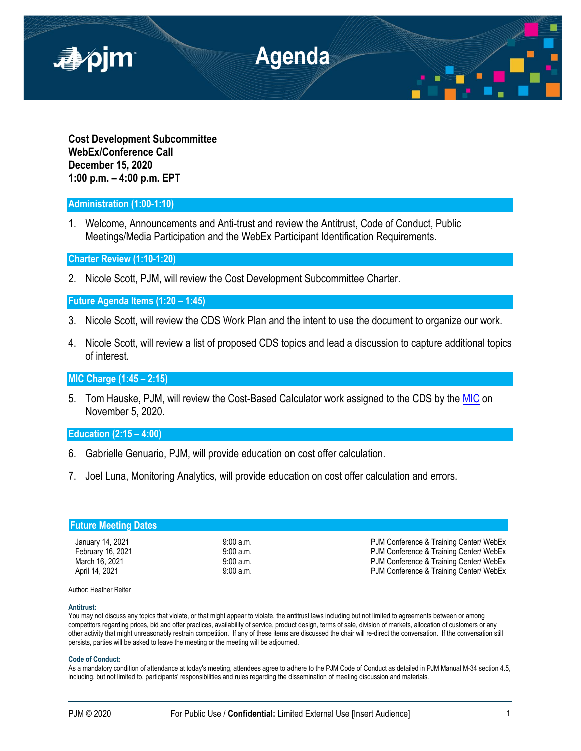

**Cost Development Subcommittee WebEx/Conference Call December 15, 2020 1:00 p.m. – 4:00 p.m. EPT**

# **Administration (1:00-1:10)**

1. Welcome, Announcements and Anti-trust and review the Antitrust, Code of Conduct, Public Meetings/Media Participation and the WebEx Participant Identification Requirements.

**Charter Review (1:10-1:20)**

2. Nicole Scott, PJM, will review the Cost Development Subcommittee Charter.

**Future Agenda Items (1:20 – 1:45)**

- 3. Nicole Scott, will review the CDS Work Plan and the intent to use the document to organize our work.
- 4. Nicole Scott, will review a list of proposed CDS topics and lead a discussion to capture additional topics of interest.

**MIC Charge (1:45 – 2:15)** 

5. Tom Hauske, PJM, will review the Cost-Based Calculator work assigned to the CDS by the [MIC](https://pjm.com/-/media/committees-groups/committees/mic/2020/20201202/20201202-draft-minutes-mic-20201105.ashx) on November 5, 2020.

# **Education (2:15 – 4:00)**

- 6. Gabrielle Genuario, PJM, will provide education on cost offer calculation.
- 7. Joel Luna, Monitoring Analytics, will provide education on cost offer calculation and errors.

| 9:00a.m. | PJM Conference & Training Center/ WebEx                                            |
|----------|------------------------------------------------------------------------------------|
|          | PJM Conference & Training Center/ WebEx<br>PJM Conference & Training Center/ WebEx |
|          | PJM Conference & Training Center/ WebEx                                            |
|          | 9:00a.m.<br>9:00 a.m.<br>9:00 a.m.                                                 |

Author: Heather Reiter

### **Antitrust:**

You may not discuss any topics that violate, or that might appear to violate, the antitrust laws including but not limited to agreements between or among competitors regarding prices, bid and offer practices, availability of service, product design, terms of sale, division of markets, allocation of customers or any other activity that might unreasonably restrain competition. If any of these items are discussed the chair will re-direct the conversation. If the conversation still persists, parties will be asked to leave the meeting or the meeting will be adjourned.

#### **Code of Conduct:**

As a mandatory condition of attendance at today's meeting, attendees agree to adhere to the PJM Code of Conduct as detailed in PJM Manual M-34 section 4.5, including, but not limited to, participants' responsibilities and rules regarding the dissemination of meeting discussion and materials.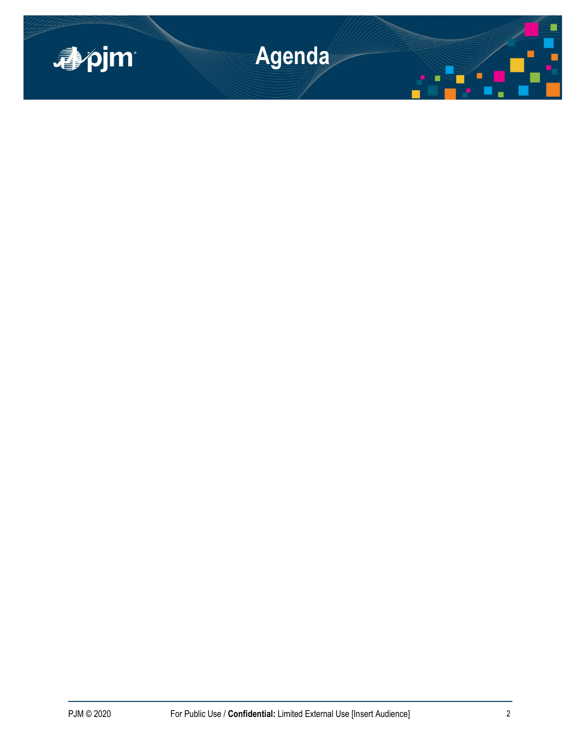